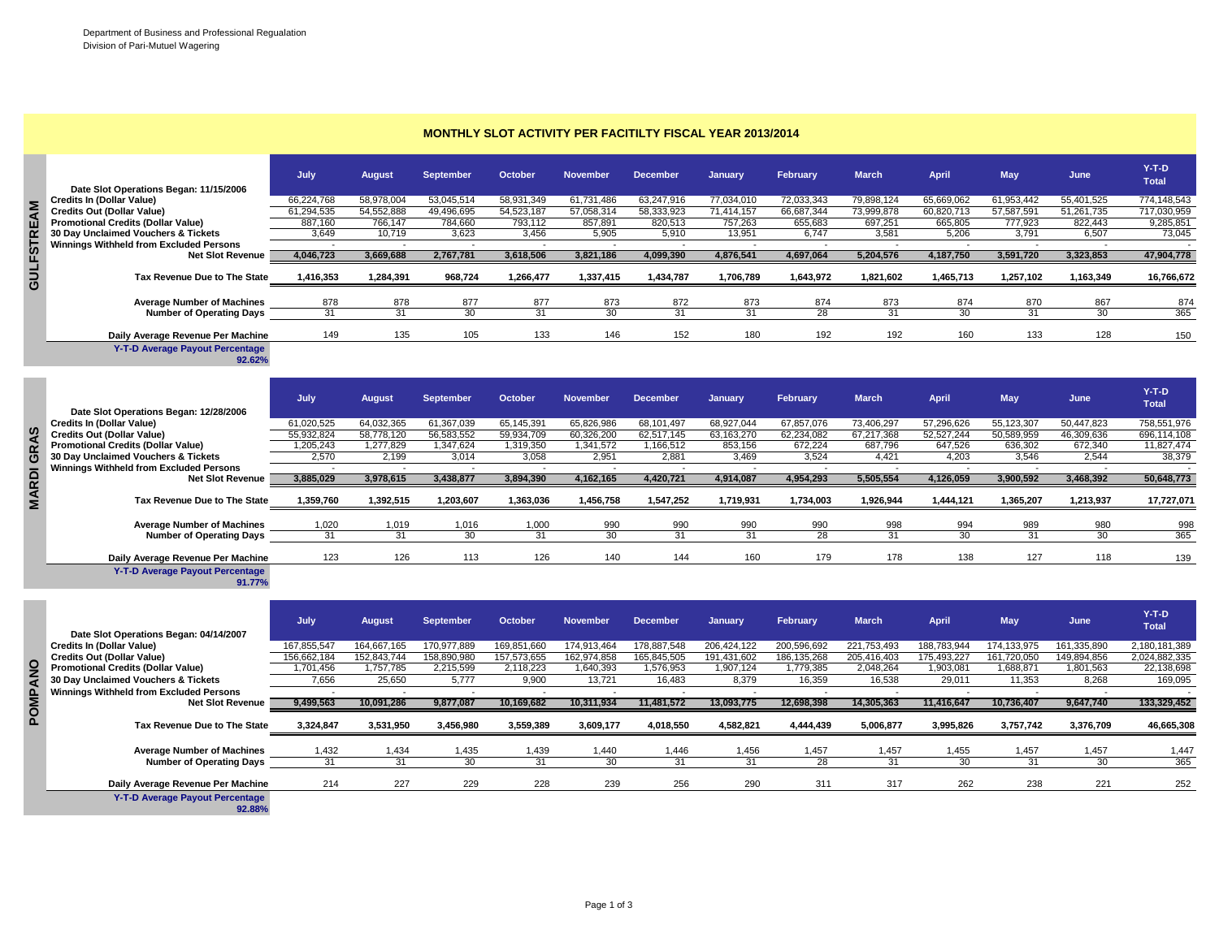|  | <b>MONTHLY SLOT ACTIVITY PER FACITILTY FISCAL YEAR 2013/2014</b> |
|--|------------------------------------------------------------------|
|--|------------------------------------------------------------------|

|                         |                                           | July       | <b>August</b> | September  | October    | <b>November</b> | <b>December</b> | January    | February   | <b>March</b> | <b>April</b> | May        | June       | $Y-T-D$<br><b>Total</b> |
|-------------------------|-------------------------------------------|------------|---------------|------------|------------|-----------------|-----------------|------------|------------|--------------|--------------|------------|------------|-------------------------|
|                         | Date Slot Operations Began: 11/15/2006    |            |               |            |            |                 |                 |            |            |              |              |            |            |                         |
|                         | <b>Credits In (Dollar Value)</b>          | 66.224.768 | 58,978,004    | 53.045.514 | 58,931,349 | 61.731.486      | 63.247.916      | 77.034.010 | 72,033,343 | 79.898.124   | 65,669,062   | 61.953.442 | 55.401.525 | 774,148,543             |
|                         | <b>Credits Out (Dollar Value)</b>         | 61,294,535 | 54,552,888    | 49,496,695 | 54,523,187 | 57,058,314      | 58,333,923      | 71,414,157 | 66,687,344 | 73,999,878   | 60,820,713   | 57,587,591 | 51,261,735 | 717,030,959             |
| $\overline{\mathbf{a}}$ | <b>Promotional Credits (Dollar Value)</b> | 887.160    | 766.147       | 784.660    | 793.112    | 857.891         | 820.513         | 757,263    | 655.683    | 697.251      | 665,805      | 777.923    | 822.443    | 9,285,851               |
| $\alpha$                | 30 Day Unclaimed Vouchers & Tickets       | 3,649      | 10,719        | 3,623      | 3,456      | 5.905           | 5.910           | 13,951     | 6.747      | 3.581        | 5,206        | 3.791      | 6,507      | 73,045                  |
|                         | Winnings Withheld from Excluded Persons   |            |               |            |            |                 |                 |            |            |              |              |            |            |                         |
|                         | <b>Net Slot Revenue</b>                   | 4,046,723  | 3,669,688     | 2,767,781  | 3,618,506  | 3,821,186       | 4,099,390       | 4,876,541  | 4,697,064  | 5,204,576    | 4,187,750    | 3,591,720  | 3,323,853  | 47,904,778              |
| GULFST                  | Tax Revenue Due to The State              | 1,416,353  | 1,284,391     | 968,724    | 1,266,477  | 1,337,415       | 1,434,787       | 1.706.789  | 1,643,972  | 1,821,602    | 1,465,713    | 1,257,102  | 1,163,349  | 16,766,672              |
|                         | <b>Average Number of Machines</b>         | 878        | 878           | 877        | 877        | 873             | 872             | 873        | 874        | 873          | 874          | 870        | 867        | 874                     |
|                         | <b>Number of Operating Days</b>           | 31         | 31            | 30         | 31         | 30              | 31              | 31         | 28         | 31           | 30           | 31         | 30         | 365                     |
|                         | Daily Average Revenue Per Machine         | 149        | 135           | 105        | 133        | 146             | 152             | 180        | 192        | 192          | 160          | 133        | 128        | 150                     |
|                         | Y-T-D Average Payout Percentage           |            |               |            |            |                 |                 |            |            |              |              |            |            |                         |

|   | Credits In (Dollar Value)<br><b>Credits Out (Dollar Value)</b>                 | 66,224,768<br>61,294,535 | 58,978,004<br>54,552,888 | 53,045,514<br>49,496,695 | 58,931,349<br>54,523,187 | 61,731,486<br>57,058,314              | 63,247,916<br>58,333,923 | 77,034,010<br>71,414,157 | 72,033,343<br>66,687,344   | 79,898,124<br>73,999,878 | 65,669,062<br>60,820,713 | 61,953,442<br>57,587,591 | 55,401,525<br>51,261,735 | 774,148,543<br>717,030,959  |
|---|--------------------------------------------------------------------------------|--------------------------|--------------------------|--------------------------|--------------------------|---------------------------------------|--------------------------|--------------------------|----------------------------|--------------------------|--------------------------|--------------------------|--------------------------|-----------------------------|
|   | <b>Promotional Credits (Dollar Value)</b>                                      | 887.160                  | 766,147                  | 784,660                  | 793,112                  | 857,891                               | 820,513                  | 757,263                  | 655.683                    | 697,251                  | 665,805                  | 777,923                  | 822.443                  | 9,285,851                   |
|   | 30 Day Unclaimed Vouchers & Tickets                                            | 3.649                    | 10,719                   | 3,623                    | 3,456                    | 5,905                                 | 5,910                    | 13,951                   | 6,747                      | 3,581                    | 5,206                    | 3,791                    | 6,507                    | 73,045                      |
|   | Winnings Withheld from Excluded Persons                                        | $\overline{\phantom{a}}$ |                          |                          |                          | $\overline{\phantom{a}}$              |                          | $\overline{\phantom{a}}$ |                            | $\blacksquare$           |                          | $\overline{\phantom{a}}$ |                          |                             |
|   | <b>Net Slot Revenue</b>                                                        | 4,046,723                | 3,669,688                | 2,767,781                | 3,618,506                | 3,821,186                             | 4,099,390                | 4,876,541                | 4,697,064                  | 5,204,576                | 4,187,750                | 3,591,720                | 3,323,853                | 47,904,778                  |
|   | Tax Revenue Due to The State                                                   | 1,416,353                | 1,284,391                | 968,724                  | 1,266,477                | 1,337,415                             | 1,434,787                | 1,706,789                | 1,643,972                  | 1,821,602                | 1,465,713                | 1,257,102                | 1,163,349                | 16,766,672                  |
|   | <b>Average Number of Machines</b>                                              | 878                      | 878                      | 877                      | 877                      | 873                                   | 872                      | 873                      | 874                        | 873                      | 874                      | 870                      | 867                      | 874                         |
|   | <b>Number of Operating Days</b>                                                | 31                       | 31                       | 30                       | 31                       | 30                                    | 31                       | 31                       | 28                         | 31                       | 30                       | 31                       | 30                       | 365                         |
|   |                                                                                |                          |                          |                          |                          |                                       |                          |                          |                            |                          |                          |                          |                          |                             |
|   | Daily Average Revenue Per Machine<br><b>Y-T-D Average Payout Percentage</b>    | 149                      | 135                      | 105                      | 133                      | 146                                   | 152                      | 180                      | 192                        | 192                      | 160                      | 133                      | 128                      | 150                         |
|   | 92.62%                                                                         |                          |                          |                          |                          |                                       |                          |                          |                            |                          |                          |                          |                          |                             |
|   |                                                                                | July                     | <b>August</b>            | <b>September</b>         | October                  | <b>November</b>                       | <b>December</b>          | January                  | February                   | <b>March</b>             | April                    | <b>May</b>               | June                     | $Y-T-D$<br><b>Total</b>     |
|   | Date Slot Operations Began: 12/28/2006                                         |                          |                          |                          |                          |                                       |                          |                          |                            |                          |                          |                          |                          |                             |
|   | Credits In (Dollar Value)                                                      | 61,020,525               | 64,032,365               | 61,367,039               | 65,145,391               | 65,826,986                            | 68,101,497               | 68,927,044               | 67,857,076                 | 73,406,297               | 57,296,626               | 55,123,307               | 50,447,823               | 758,551,976                 |
|   | <b>Credits Out (Dollar Value)</b><br><b>Promotional Credits (Dollar Value)</b> | 55,932,824<br>1,205,243  | 58,778,120<br>1,277,829  | 56,583,552<br>1,347,624  | 59,934,709<br>1,319,350  | 60,326,200<br>1,341,572               | 62,517,145<br>1,166,512  | 63,163,270<br>853,156    | 62,234,082<br>672,224      | 67,217,368<br>687,796    | 52,527,244<br>647,526    | 50,589,959<br>636,302    | 46,309,636<br>672,340    | 696,114,108<br>11,827,474   |
|   | 30 Day Unclaimed Vouchers & Tickets                                            | 2,570                    | 2,199                    | 3,014                    | 3,058                    | 2,951                                 | 2,881                    | 3,469                    | 3,524                      | 4,421                    | 4,203                    | 3,546                    | 2,544                    | 38,379                      |
|   |                                                                                |                          |                          |                          |                          |                                       |                          |                          |                            |                          | $\overline{\phantom{a}}$ | $\overline{\phantom{a}}$ |                          |                             |
|   |                                                                                |                          |                          | $\overline{\phantom{a}}$ |                          |                                       | $\sim$                   |                          |                            |                          |                          |                          |                          |                             |
|   | Winnings Withheld from Excluded Persons<br><b>Net Slot Revenue</b>             | 3,885,029                | 3,978,615                | 3,438,877                | 3,894,390                | $\overline{\phantom{a}}$<br>4,162,165 | 4,420,721                | 4,914,087                | 4,954,293                  | 5,505,554                | 4,126,059                | 3,900,592                | 3,468,392                | 50,648,773                  |
|   |                                                                                |                          |                          |                          |                          |                                       |                          |                          |                            |                          |                          |                          |                          |                             |
|   | Tax Revenue Due to The State                                                   | 1,359,760                | 1,392,515                | 1,203,607                | 1,363,036                | 1,456,758                             | 1,547,252                | 1,719,931                | 1,734,003                  | 1,926,944                | 1,444,121                | 1,365,207                | 1,213,937                | 17,727,071                  |
|   | <b>Average Number of Machines</b>                                              | 1,020                    | 1,019                    | 1,016                    | 1,000                    | 990                                   | 990                      | 990                      | 990                        | 998                      | 994                      | 989                      | 980                      | 998                         |
|   | <b>Number of Operating Days</b>                                                | 31                       | 31                       | 30                       | 31                       | 30 <sup>2</sup>                       | 31                       | 31                       | 28                         | 31                       | 30                       | 31                       | 30                       | 365                         |
|   |                                                                                | 123                      | 126                      | 113                      | 126                      | 140                                   | 144                      | 160                      | 179                        | 178                      | 138                      | 127                      | 118                      |                             |
|   | Daily Average Revenue Per Machine<br>Y-T-D Average Payout Percentage<br>91.77% |                          |                          |                          |                          |                                       |                          |                          |                            |                          |                          |                          |                          | 139                         |
|   |                                                                                | July                     | August                   | <b>September</b>         | October                  | <b>November</b>                       | <b>December</b>          | January                  | February                   | <b>March</b>             | <b>April</b>             | <b>May</b>               | June                     | $Y-T-D$<br><b>Total</b>     |
|   | Date Slot Operations Began: 04/14/2007                                         |                          |                          |                          |                          |                                       |                          |                          |                            |                          |                          |                          |                          |                             |
|   | <b>Credits In (Dollar Value)</b>                                               | 167,855,547              | 164,667,165              | 170,977,889              | 169,851,660              | 174,913,464                           | 178,887,548              | 206, 424, 122            | 200,596,692                | 221,753,493              | 188,783,944              | 174, 133, 975            | 161,335,890              | 2,180,181,389               |
|   | <b>Credits Out (Dollar Value)</b><br><b>Promotional Credits (Dollar Value)</b> | 156,662,184<br>1,701,456 | 152,843,744<br>1,757,785 | 158,890,980              | 157,573,655<br>2,118,223 | 162,974,858                           | 165,845,505<br>1,576,953 | 191,431,602<br>1,907,124 | 186, 135, 268<br>1,779,385 | 205,416,403<br>2,048,264 | 175,493,227<br>1,903,081 | 161,720,050<br>1,688,871 | 149,894,856<br>1,801,563 | 2,024,882,335<br>22,138,698 |
|   | 30 Day Unclaimed Vouchers & Tickets                                            | 7,656                    | 25,650                   | 2,215,599                |                          | 1,640,393                             | 16,483                   |                          | 16,359                     | 16,538                   | 29,011                   |                          | 8,268                    |                             |
|   | Winnings Withheld from Excluded Persons                                        |                          |                          | 5,777                    | 9,900                    | 13,721                                |                          | 8,379                    |                            |                          |                          | 11,353                   |                          | 169,095                     |
| n | <b>Net Slot Revenue</b>                                                        | 9,499,563                | 10,091,286               | 9,877,087                | 10,169,682               | 10,311,934                            | 11,481,572               | 13,093,775               | 12,698,398                 | 14,305,363               | 11,416,647               | 10,736,407               | 9,647,740                | 133,329,452                 |

|                                           | July        | <b>August</b> | <b>September</b> | October     | <b>November</b> | <b>December</b> | January     | February      | <b>March</b> | <b>April</b> | May         | June        | $Y-T-D$<br><b>Total</b> |
|-------------------------------------------|-------------|---------------|------------------|-------------|-----------------|-----------------|-------------|---------------|--------------|--------------|-------------|-------------|-------------------------|
| Date Slot Operations Began: 04/14/2007    |             |               |                  |             |                 |                 |             |               |              |              |             |             |                         |
| <b>Credits In (Dollar Value)</b>          | 167,855,547 | 164,667,165   | 170.977.889      | 169,851,660 | 174,913,464     | 178,887,548     | 206.424.122 | 200,596,692   | 221,753,493  | 188,783,944  | 174.133.975 | 161,335,890 | 2,180,181,389           |
| <b>Credits Out (Dollar Value)</b>         | 156,662,184 | 152,843,744   | 158,890,980      | 157,573,655 | 162,974,858     | 165,845,505     | 191,431,602 | 186, 135, 268 | 205,416,403  | 175,493,227  | 161,720,050 | 149,894,856 | 2,024,882,335           |
| <b>Promotional Credits (Dollar Value)</b> | 1,701,456   | 1,757,785     | 2,215,599        | 2,118,223   | 1,640,393       | 1,576,953       | 1,907,124   | 1,779,385     | 2,048,264    | 1,903,081    | 1,688,871   | 1,801,563   | 22,138,698              |
| 30 Day Unclaimed Vouchers & Tickets       | 7,656       | 25,650        | 5.777            | 9,900       | 13,721          | 16,483          | 8,379       | 16,359        | 16,538       | 29.011       | 11,353      | 8,268       | 169,095                 |
| Winnings Withheld from Excluded Persons   |             |               |                  |             |                 |                 |             |               |              |              |             |             |                         |
| <b>Net Slot Revenue</b>                   | 9,499,563   | 10,091,286    | 9,877,087        | 10,169,682  | 10,311,934      | 11,481,572      | 13,093,775  | 12,698,398    | 14,305,363   | 11,416,647   | 10,736,407  | 9,647,740   | 133,329,452             |
|                                           |             |               |                  |             |                 |                 |             |               |              |              |             |             |                         |
| Tax Revenue Due to The State              | 3,324,847   | 3,531,950     | 3,456,980        | 3,559,389   | 3,609,177       | 4,018,550       | 4,582,821   | 4,444,439     | 5,006,877    | 3,995,826    | 3,757,742   | 3,376,709   | 46,665,308              |
|                                           |             |               |                  |             |                 |                 |             |               |              |              |             |             |                         |
| <b>Average Number of Machines</b>         | 1,432       | 1.434         | 1,435            | 1,439       | 1.440           | 1.446           | 1,456       | 1,457         | 457،         | 1,455        | 1.457       | 1,457       | 1,447                   |
| <b>Number of Operating Days</b>           | 31          | 31            | 30               | 31          | 30              | 31              | 31          | 28            | 31           | 30           | 31          | 30          | 365                     |
| Daily Average Revenue Per Machine         | 214         | 227           | 229              | 228         | 239             | 256             | 290         | 311           | 317          | 262          | 238         | 221         | 252                     |
| Y-T-D Average Payout Percentage           |             |               |                  |             |                 |                 |             |               |              |              |             |             |                         |

**92.88%**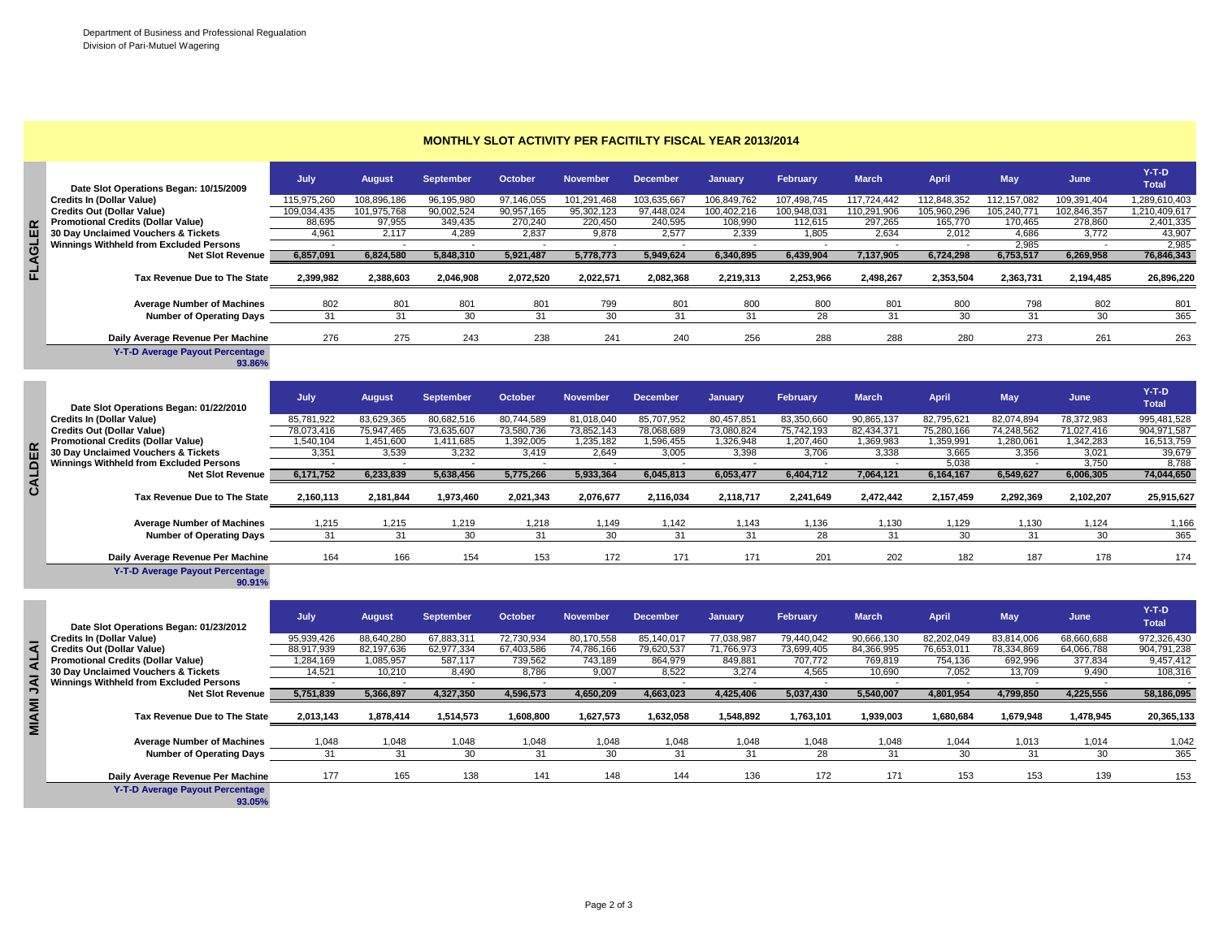| Date Slot Operations Began: 10/15/2009    | July        | <b>August</b> | September  | October    | <b>November</b> | <b>December</b> | January     | February    | <b>March</b> | <b>April</b> | May         | June        | $Y-T-D$<br><b>Total</b> |
|-------------------------------------------|-------------|---------------|------------|------------|-----------------|-----------------|-------------|-------------|--------------|--------------|-------------|-------------|-------------------------|
| <b>Credits In (Dollar Value)</b>          | 115,975,260 | 108,896,186   | 96,195,980 | 97,146,055 | 101,291,468     | 103,635,667     | 106,849,762 | 107,498,745 | 117.724.442  | 112.848.352  | 112.157.082 | 109,391,404 | 1,289,610,403           |
| <b>Credits Out (Dollar Value)</b>         | 109,034,435 | 101.975.768   | 90,002,524 | 90,957,165 | 95,302,123      | 97.448.024      | 100,402,216 | 100,948,031 | 110,291,906  | 105,960,296  | 105,240,771 | 102,846,357 | 1,210,409,617           |
| <b>Promotional Credits (Dollar Value)</b> | 88,695      | 97,955        | 349,435    | 270,240    | 220.450         | 240,595         | 108,990     | 112,615     | 297.265      | 165.770      | 170,465     | 278,860     | 2,401,335               |
| 30 Day Unclaimed Vouchers & Tickets       | 4.961       | 2.117         | 4.289      | 2.837      | 9,878           | 2.577           | 2.339       | 1,805       | 2.634        | 2,012        | 4,686       | 3,772       | 43,907                  |
| Winnings Withheld from Excluded Persons   |             |               |            |            |                 |                 |             |             |              |              | 2.985       |             | 2,985                   |
| <b>Net Slot Revenue</b>                   | 6,857,091   | 6,824,580     | 5,848,310  | 5,921,487  | 5,778,773       | 5,949,624       | 6,340,895   | 6,439,904   | 7,137,905    | 6,724,298    | 6,753,517   | 6,269,958   | 76,846,343              |
| Tax Revenue Due to The State              | 2,399,982   | 2,388,603     | 2,046,908  | 2,072,520  | 2,022,571       | 2,082,368       | 2,219,313   | 2,253,966   | 2,498,267    | 2,353,504    | 2,363,731   | 2,194,485   | 26,896,220              |
| <b>Average Number of Machines</b>         | 802         | 801           | 801        | 801        | 799             | 801             | 800         | 800         | 801          | 800          | 798         | 802         | 801                     |
| <b>Number of Operating Days</b>           |             | 31            |            | 31         | 30              | 31              | 31          | 28          | 31           | 30           | 31          | 30          | 365                     |
| Daily Average Revenue Per Machine         | 276         | 275           | 243        | 238        | 241             | 240             | 256         | 288         | 288          | 280          | 273         | 261         | 263                     |
| M.T. B. Accounts Batterie Banagueran      |             |               |            |            |                 |                 |             |             |              |              |             |             |                         |

| <b>Promotional Credits (Dollar Value)</b>                                   | 88,695                   | 97,955        | 349,435          | 270,240        | 220,450                  | 240,595         | 108,990                  | 112,615        | 297,265                  | 165,770    | 170,465                  | 278,860    | 2,401,335               |
|-----------------------------------------------------------------------------|--------------------------|---------------|------------------|----------------|--------------------------|-----------------|--------------------------|----------------|--------------------------|------------|--------------------------|------------|-------------------------|
| 30 Day Unclaimed Vouchers & Tickets                                         | 4,961                    | 2,117         | 4,289            | 2,837          | 9,878                    | 2,577           | 2,339                    | 1,805          | 2,634                    | 2,012      | 4,686                    | 3,772      | 43,907                  |
| Winnings Withheld from Excluded Persons                                     |                          |               |                  |                |                          |                 |                          |                | $\overline{\phantom{a}}$ |            | 2,985                    |            | 2,985                   |
| Net Slot Revenue                                                            | 6,857,091                | 6,824,580     | 5,848,310        | 5,921,487      | 5,778,773                | 5,949,624       | 6,340,895                | 6,439,904      | 7,137,905                | 6,724,298  | 6,753,517                | 6,269,958  | 76,846,343              |
| Tax Revenue Due to The State                                                | 2,399,982                | 2,388,603     | 2,046,908        | 2,072,520      | 2,022,571                | 2,082,368       | 2,219,313                | 2,253,966      | 2,498,267                | 2,353,504  | 2,363,731                | 2,194,485  | 26,896,220              |
|                                                                             |                          |               |                  |                |                          |                 |                          |                |                          |            |                          |            |                         |
| <b>Average Number of Machines</b>                                           | 802                      | 801           | 801              | 801            | 799                      | 801             | 800                      | 800            | 801                      | 800        | 798                      | 802        | 801                     |
| <b>Number of Operating Days</b>                                             | 31                       | 31            | 30               | 31             | 30                       | 31              | 31                       | 28             | 31                       | 30         | 31                       | 30         | 365                     |
| Daily Average Revenue Per Machine                                           | 276                      | 275           | 243              | 238            | 241                      | 240             | 256                      | 288            | 288                      | 280        | 273                      | 261        | 263                     |
| Y-T-D Average Payout Percentage<br>93.86%                                   |                          |               |                  |                |                          |                 |                          |                |                          |            |                          |            |                         |
| Date Slot Operations Began: 01/22/2010                                      | July                     | <b>August</b> | <b>September</b> | October        | <b>November</b>          | <b>December</b> | January                  | February       | <b>March</b>             | April      | <b>May</b>               | June       | $Y-T-D$<br><b>Total</b> |
| <b>Credits In (Dollar Value)</b>                                            | 85,781,922               | 83,629,365    | 80,682,516       | 80,744,589     | 81,018,040               | 85,707,952      | 80,457,851               | 83,350,660     | 90,865,137               | 82,795,621 | 82,074,894               | 78,372,983 | 995,481,528             |
| <b>Credits Out (Dollar Value)</b>                                           | 78,073,416               | 75,947,465    | 73,635,607       | 73,580,736     | 73,852,143               | 78,068,689      | 73,080,824               | 75,742,193     | 82,434,371               | 75,280,166 | 74,248,562               | 71,027,416 | 904,971,587             |
| <b>Promotional Credits (Dollar Value)</b>                                   | 1,540,104                | 1,451,600     | 1,411,685        | 1,392,005      | 1,235,182                | 1,596,455       | 1,326,948                | 1,207,460      | 1,369,983                | 1,359,991  | 1,280,061                | 1,342,283  | 16,513,759              |
| 30 Day Unclaimed Vouchers & Tickets                                         | 3,351                    | 3,539         | 3,232            | 3,419          | 2,649                    | 3,005           | 3,398                    | 3,706          | 3,338                    | 3,665      | 3,356                    | 3,021      | 39,679                  |
| <b>Winnings Withheld from Excluded Persons</b>                              | $\overline{\phantom{a}}$ |               |                  | $\overline{a}$ | $\overline{\phantom{a}}$ |                 | $\overline{\phantom{a}}$ | $\overline{a}$ | $\overline{\phantom{a}}$ | 5,038      | $\overline{\phantom{a}}$ | 3,750      | 8,788                   |
| <b>Net Slot Revenue</b>                                                     | 6,171,752                | 6,233,839     | 5,638,456        | 5,775,266      | 5,933,364                | 6,045,813       | 6,053,477                | 6,404,712      | 7,064,121                | 6,164,167  | 6,549,627                | 6,006,305  | 74,044,650              |
|                                                                             |                          |               |                  |                |                          |                 |                          |                |                          |            |                          |            |                         |
| Tax Revenue Due to The State                                                | 2,160,113                | 2,181,844     | 1,973,460        | 2,021,343      | 2,076,677                | 2,116,034       | 2,118,717                | 2,241,649      | 2,472,442                | 2,157,459  | 2,292,369                | 2,102,207  | 25,915,627              |
|                                                                             |                          |               |                  |                |                          |                 |                          |                |                          |            |                          |            |                         |
| <b>Average Number of Machines</b>                                           | 1,215                    | 1,215         | 1,219            | 1,218          | 1,149                    | 1,142           | 1,143                    | 1,136          | 1,130                    | 1,129      | 1,130                    | 1,124      | 1,166                   |
| <b>Number of Operating Days</b>                                             | 31                       | 31            | 30               | 31             | 30                       | 31              | 31                       | 28             | 31                       | 30         | 31                       | 30         | 365                     |
| Daily Average Revenue Per Machine<br><b>Y-T-D Average Payout Percentage</b> | 164                      | 166           | 154              | 153            | 172                      | 171             | 171                      | 201            | 202                      | 182        | 187                      | 178        | 174                     |
| 90.91%                                                                      |                          |               |                  |                |                          |                 |                          |                |                          |            |                          |            |                         |
| Date Slot Operations Began: 01/23/2012                                      | July                     | <b>August</b> | <b>September</b> | October        | <b>November</b>          | <b>December</b> | <b>January</b>           | February       | <b>March</b>             | April      | May                      | June       | $Y-T-D$<br><b>Total</b> |
| <b>Credits In (Dollar Value)</b>                                            | 95,939,426               | 88.640.280    | 67,883,311       | 72,730,934     | 80,170,558               | 85,140,017      | 77,038,987               | 79,440,042     | 90,666,130               | 82,202,049 | 83,814,006               | 68.660.688 | 972,326,430             |
| <b>Credits Out (Dollar Value)</b>                                           | 88,917,939               | 82,197,636    | 62,977,334       | 67,403,586     | 74,786,166               | 79,620,537      | 71,766,973               | 73,699,405     | 84,366,995               | 76,653,011 | 78,334,869               | 64,066,788 | 904,791,238             |
| <b>Promotional Credits (Dollar Value)</b>                                   | 1,284,169                | 1,085,957     | 587,117          | 739,562        | 743,189                  | 864,979         | 849,881                  | 707,772        | 769,819                  | 754,136    | 692,996                  | 377,834    | 9,457,412               |
| 30 Day Unclaimed Vouchers & Tickets                                         | 14,521                   | 10,210        | 8,490            | 8,786          | 9,007                    | 8,522           | 3,274                    | 4,565          | 10,690                   | 7,052      | 13,709                   | 9,490      | 108,316                 |
| Winnings Withheld from Excluded Persons                                     |                          |               |                  |                |                          |                 |                          |                |                          |            |                          |            |                         |
| <b>Net Slot Revenue</b>                                                     | 5,751,839                | 5,366,897     | 4,327,350        | 4,596,573      | 4,650,209                | 4,663,023       | 4,425,406                | 5,037,430      | 5,540,007                | 4,801,954  | 4,799,850                | 4,225,556  | 58,186,095              |
| Tax Revenue Due to The State                                                | 2,013,143                | 1,878,414     | 1,514,573        | 1,608,800      | 1,627,573                | 1,632,058       | 1,548,892                | 1,763,101      | 1,939,003                | 1,680,684  | 1,679,948                | 1,478,945  | 20,365,133              |

|      | Date Slot Operations Began: 01/23/2012         | July       | <b>August</b> | <b>September</b> | October    | <b>November</b> | <b>December</b> | January    | February   | <b>March</b> | <b>April</b> | May        | June       | $Y-T-D$<br><b>Total</b> |
|------|------------------------------------------------|------------|---------------|------------------|------------|-----------------|-----------------|------------|------------|--------------|--------------|------------|------------|-------------------------|
|      | <b>Credits In (Dollar Value)</b>               | 95,939,426 | 88,640,280    | 67,883,311       | 72,730,934 | 80.170.558      | 85,140,017      | 77,038,987 | 79.440.042 | 90,666,130   | 82,202,049   | 83,814,006 | 68,660,688 | 972,326,430             |
|      | <b>Credits Out (Dollar Value)</b>              | 88,917,939 | 82.197.636    | 62.977.334       | 67,403,586 | 74.786.166      | 79,620,537      | 71,766,973 | 73,699,405 | 84.366.995   | 76,653,01    | 78.334.869 | 64,066,788 | 904,791,238             |
|      | <b>Promotional Credits (Dollar Value)</b>      | 1,284,169  | 1,085,957     | 587,117          | 739,562    | 743.189         | 864,979         | 849,881    | 707.772    | 769.819      | 754,136      | 692,996    | 377,834    | 9,457,412               |
|      | 30 Day Unclaimed Vouchers & Tickets            | 14.521     | 10.210        | 8.490            | 8.786      | 9.007           | 8.522           | 3.274      | 4.565      | 10.690       | 7.052        | 13.709     | 9.490      | 108,316                 |
|      | <b>Winnings Withheld from Excluded Persons</b> |            |               |                  |            |                 |                 |            |            |              |              |            |            |                         |
| っ    | <b>Net Slot Revenue</b>                        | 5,751,839  | 5,366,897     | 4,327,350        | 4,596,573  | 4,650,209       | 4,663,023       | 4,425,406  | 5,037,430  | 5,540,007    | 4,801,954    | 4,799,850  | 4,225,556  | 58,186,095              |
|      |                                                |            |               |                  |            |                 |                 |            |            |              |              |            |            |                         |
| Ξ    | Tax Revenue Due to The State                   | 2,013,143  | 1,878,414     | 1,514,573        | 1,608,800  | 1,627,573       | 1,632,058       | 1,548,892  | 1,763,101  | 1,939,003    | 1,680,684    | 1,679,948  | 1,478,945  | 20,365,133              |
| MIAI | <b>Average Number of Machines</b>              | 1.048      | 1.048         | 1.048            | 1,048      | 1.048           | 1.048           | 0.048      | 1,048      | 1.048        | 1.044        | 1,013      | 1,014      | 1,042                   |
|      | <b>Number of Operating Days</b>                | 31         | 31            | 30               | 31         | 30              | 31              | 31         | 28         | 31           | 30           | 31         | 30         | 365                     |
|      | Daily Average Revenue Per Machine              | 177        | 165           | 138              | 141        | 148             | 144             | 136        | 172        | 171          | 153          | 153        | 139        | 153                     |

**93.05%**